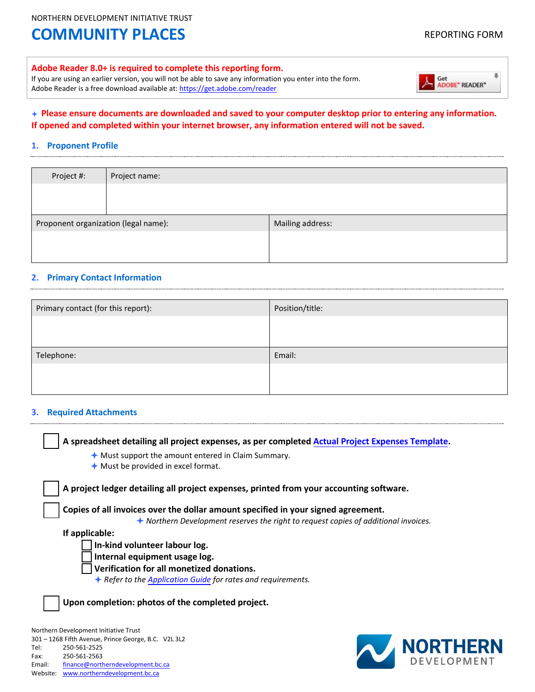NORTHERN DEVELOPMENT INITIATIVE TRUST

# **COMMUNITY PLACES** REPORTING FORM

#### **Adobe Reader 8.0+ is required to complete this reporting form.**

If you are using an earlier version, you will not be able to save any information you enter into the form. Adobe Reader is a free download available at[: https://get.adobe.com/reader](https://get.adobe.com/reader)



#### **Please ensure documents are downloaded and saved to your computer desktop prior to entering any information. If opened and completed within your internet browser, any information entered will not be saved.**

#### **1. Proponent Profile**

| Project #:                           | Project name: |                  |
|--------------------------------------|---------------|------------------|
|                                      |               |                  |
|                                      |               |                  |
| Proponent organization (legal name): |               | Mailing address: |
|                                      |               |                  |
|                                      |               |                  |

#### **2. Primary Contact Information**

| Primary contact (for this report): | Position/title: |
|------------------------------------|-----------------|
|                                    |                 |
|                                    |                 |
| Telephone:                         | Email:          |
|                                    |                 |
|                                    |                 |

#### **3. Required Attachments**

Fax: 250-561-2563

Email: [finance@northerndevelopment.bc.ca](mailto:finance@northerndevelopment.bc.ca)  Website: [www.northerndevelopment.bc.ca](http://www.northerndevelopment.bc.ca/)

| A spreadsheet detailing all project expenses, as per completed Actual Project Expenses Template. |                                                                                              |
|--------------------------------------------------------------------------------------------------|----------------------------------------------------------------------------------------------|
| $\triangle$ Must support the amount entered in Claim Summary.                                    |                                                                                              |
| $\bigstar$ Must be provided in excel format.                                                     |                                                                                              |
| A project ledger detailing all project expenses, printed from your accounting software.          |                                                                                              |
| Copies of all invoices over the dollar amount specified in your signed agreement.                |                                                                                              |
|                                                                                                  | $\bigstar$ Northern Development reserves the right to request copies of additional invoices. |
| If applicable:                                                                                   |                                                                                              |
| In-kind volunteer labour log.                                                                    |                                                                                              |
| Internal equipment usage log.                                                                    |                                                                                              |
| Verification for all monetized donations.                                                        |                                                                                              |
| $\triangle$ Refer to the Application Guide for rates and requirements.                           |                                                                                              |
| Upon completion: photos of the completed project.                                                |                                                                                              |
| Northern Development Initiative Trust                                                            |                                                                                              |
| 301 - 1268 Fifth Avenue, Prince George, B.C. V2L 3L2                                             |                                                                                              |
| 250-561-2525<br>Tel:                                                                             | NORTHERN                                                                                     |

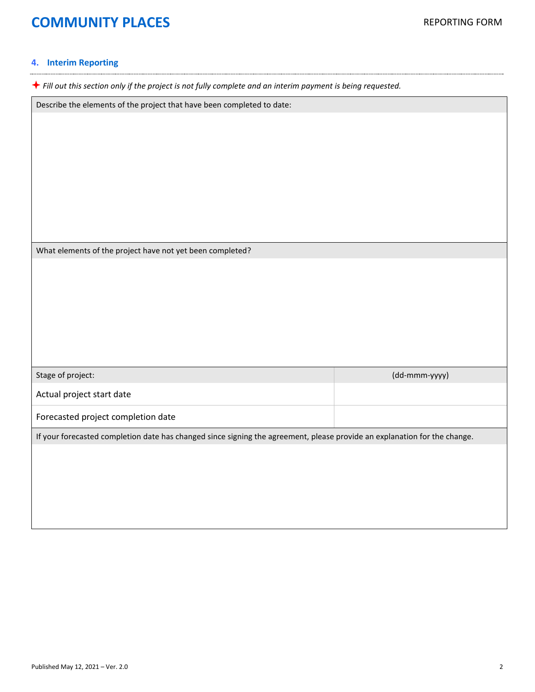## **COMMUNITY PLACES REPORTING FORM**

#### **4. Interim Reporting**

*Fill out this section only if the project is not fully complete and an interim payment is being requested.*

Describe the elements of the project that have been completed to date:

What elements of the project have not yet been completed?

| Stage of project:                                                                                                         | $(dd\text{-}mmm\text{-}vyy)$ |  |
|---------------------------------------------------------------------------------------------------------------------------|------------------------------|--|
| Actual project start date                                                                                                 |                              |  |
| Forecasted project completion date                                                                                        |                              |  |
| If your forecasted completion date has changed since signing the agreement, please provide an explanation for the change. |                              |  |
|                                                                                                                           |                              |  |
|                                                                                                                           |                              |  |
|                                                                                                                           |                              |  |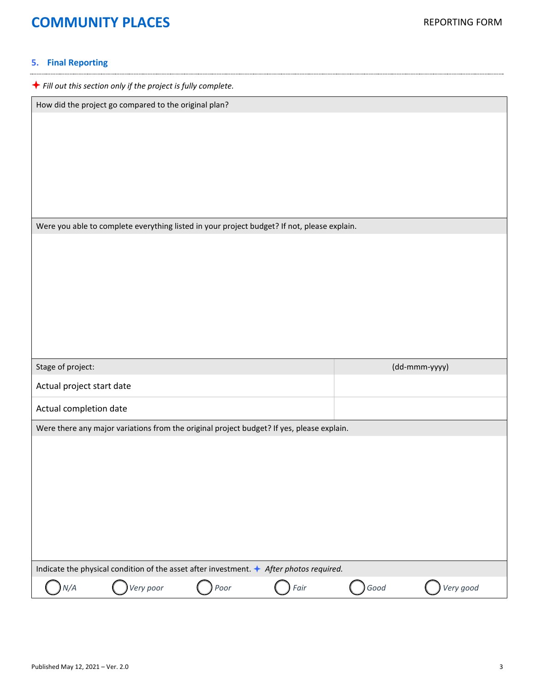# **COMMUNITY PLACES REPORTING FORM**

### **5. Final Reporting**

| $\bigstar$ Fill out this section only if the project is fully complete.                          |               |  |  |
|--------------------------------------------------------------------------------------------------|---------------|--|--|
| How did the project go compared to the original plan?                                            |               |  |  |
|                                                                                                  |               |  |  |
|                                                                                                  |               |  |  |
|                                                                                                  |               |  |  |
|                                                                                                  |               |  |  |
|                                                                                                  |               |  |  |
|                                                                                                  |               |  |  |
| Were you able to complete everything listed in your project budget? If not, please explain.      |               |  |  |
|                                                                                                  |               |  |  |
|                                                                                                  |               |  |  |
|                                                                                                  |               |  |  |
|                                                                                                  |               |  |  |
|                                                                                                  |               |  |  |
|                                                                                                  |               |  |  |
|                                                                                                  |               |  |  |
|                                                                                                  |               |  |  |
| Stage of project:                                                                                | (dd-mmm-yyyy) |  |  |
| Actual project start date                                                                        |               |  |  |
| Actual completion date                                                                           |               |  |  |
| Were there any major variations from the original project budget? If yes, please explain.        |               |  |  |
|                                                                                                  |               |  |  |
|                                                                                                  |               |  |  |
|                                                                                                  |               |  |  |
|                                                                                                  |               |  |  |
|                                                                                                  |               |  |  |
|                                                                                                  |               |  |  |
|                                                                                                  |               |  |  |
| Indicate the physical condition of the asset after investment. $\bigstar$ After photos required. |               |  |  |